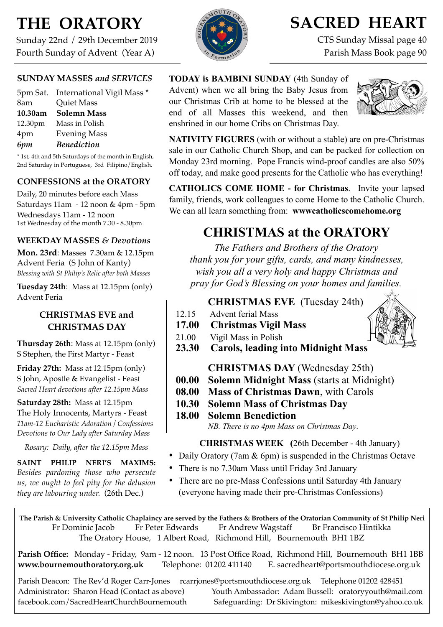# **THE ORATORY**

Sunday 22nd / 29th December 2019 Fourth Sunday of Advent (Year A)

#### **SUNDAY MASSES** *and SERVICES*

| 5pm Sat. International Vigil Mass * |
|-------------------------------------|
| Quiet Mass                          |
| <b>Solemn Mass</b>                  |
| Mass in Polish                      |
| <b>Evening Mass</b>                 |
| <b>Benediction</b>                  |
|                                     |

\* 1st, 4th and 5th Saturdays of the month in English, 2nd Saturday in Portuguese, 3rd Filipino/English.

#### **CONFESSIONS at the ORATORY**

Daily, 20 minutes before each Mass Saturdays 11am - 12 noon & 4pm - 5pm Wednesdays 11am - 12 noon 1st Wednesday of the month 7.30 - 8.30pm

#### **WEEKDAY MASSES** *& Devotions*

**Mon. 23rd**: Masses 7.30am & 12.15pm Advent Feria (S John of Kanty) *Blessing with St Philip's Relic after both Masses*

**Tuesday 24th**: Mass at 12.15pm (only) Advent Feria

#### **CHRISTMAS EVE and CHRISTMAS DAY**

**Thursday 26th**: Mass at 12.15pm (only) S Stephen, the First Martyr - Feast

**Friday 27th:** Mass at 12.15pm (only) S John, Apostle & Evangelist - Feast *Sacred Heart devotions after 12.15pm Mass*

**Saturday 28th:** Mass at 12.15pm The Holy Innocents, Martyrs - Feast *11am-12 Eucharistic Adoration / Confessions Devotions to Our Lady after Saturday Mass*

*Rosary: Daily, after the 12.15pm Mass*

**SAINT PHILIP NERI'S MAXIMS:**  *Besides pardoning those who persecute us, we ought to feel pity for the delusion they are labouring under.* (26th Dec.)

## **SACRED HEART**

CTS Sunday Missal page 40 Parish Mass Book page 90

#### **TODAY is BAMBINI SUNDAY** (4th Sunday of Advent) when we all bring the Baby Jesus from our Christmas Crib at home to be blessed at the end of all Masses this weekend, and then enshrined in our home Cribs on Christmas Day.



**NATIVITY FIGURES** (with or without a stable) are on pre-Christmas sale in our Catholic Church Shop, and can be packed for collection on Monday 23rd morning. Pope Francis wind-proof candles are also 50% off today, and make good presents for the Catholic who has everything!

**CATHOLICS COME HOME - for Christmas**. Invite your lapsed family, friends, work colleagues to come Home to the Catholic Church. We can all learn something from: **wwwcatholicscomehome.org** 

### **CHRISTMAS at the ORATORY**

*The Fathers and Brothers of the Oratory thank you for your gifts, cards, and many kindnesses, wish you all a very holy and happy Christmas and pray for God's Blessing on your homes and families.* 

#### **CHRISTMAS EVE** (Tuesday 24th)

- 12.15 Advent ferial Mass
- **17.00 Christmas Vigil Mass**
- 21.00 Vigil Mass in Polish
- **23.30 Carols, leading into Midnight Mass** 
	- **CHRISTMAS DAY** (Wednesday 25th)
- **00.00 Solemn Midnight Mass** (starts at Midnight)
- **08.00 Mass of Christmas Dawn**, with Carols
- **10.30 Solemn Mass of Christmas Day**

**18.00 Solemn Benediction**  *NB. There is no 4pm Mass on Christmas Day*.

**CHRISTMAS WEEK (**26th December - 4th January)

- Daily Oratory (7am & 6pm) is suspended in the Christmas Octave
- There is no 7.30am Mass until Friday 3rd January
- There are no pre-Mass Confessions until Saturday 4th January (everyone having made their pre-Christmas Confessions)

**The Parish & University Catholic Chaplaincy are served by the Fathers & Brothers of the Oratorian Community of St Philip Neri**  Fr Dominic Jacob Fr Peter Edwards Fr Andrew Wagstaff Br Francisco Hintikka The Oratory House, 1 Albert Road, Richmond Hill, Bournemouth BH1 1BZ

**Parish Office:** Monday - Friday, 9am - 12 noon. 13 Post Office Road, Richmond Hill, Bournemouth BH1 1BB **[www.bournemouthoratory.org.uk](http://www.bournemoithoratory.org.uk)** Telephone: 01202 411140 E. [sacredheart@portsmouthdiocese.org.uk](mailto:sacredheart@portsmouthdiocese.org.uk)

Parish Deacon: The Rev'd Roger Carr-Jones [rcarrjones@portsmouthdiocese.org.uk](mailto:rcarrjones@portsmouthdiocese.org.uk) Telephone 01202 428451 Administrator: Sharon Head (Contact as above) Youth Ambassador: Adam Bussell: [oratoryyouth@mail.com](http://oratoryyouth.mail.com) [facebook.com/SacredHeartChurchBournemouth](http://facebook.com/SaccredHeartChurchBournemouth) Safeguarding: Dr Skivington: mikeskivington@yahoo.co.uk